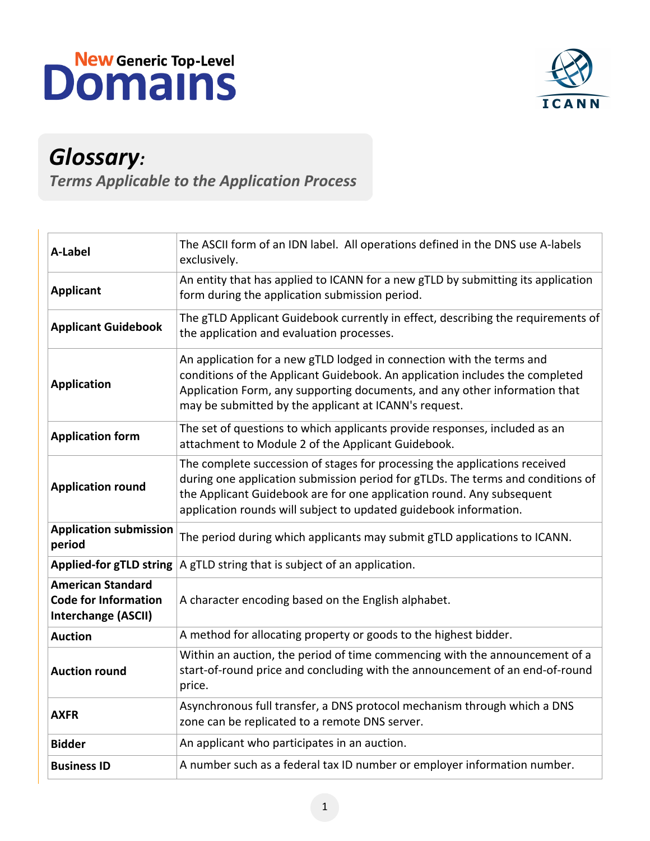



## *Glossary:*

*Terms Applicable to the Application Process*

| <b>A-Label</b>                                                                        | The ASCII form of an IDN label. All operations defined in the DNS use A-labels<br>exclusively.                                                                                                                                                                                                              |
|---------------------------------------------------------------------------------------|-------------------------------------------------------------------------------------------------------------------------------------------------------------------------------------------------------------------------------------------------------------------------------------------------------------|
| <b>Applicant</b>                                                                      | An entity that has applied to ICANN for a new gTLD by submitting its application<br>form during the application submission period.                                                                                                                                                                          |
| <b>Applicant Guidebook</b>                                                            | The gTLD Applicant Guidebook currently in effect, describing the requirements of<br>the application and evaluation processes.                                                                                                                                                                               |
| <b>Application</b>                                                                    | An application for a new gTLD lodged in connection with the terms and<br>conditions of the Applicant Guidebook. An application includes the completed<br>Application Form, any supporting documents, and any other information that<br>may be submitted by the applicant at ICANN's request.                |
| <b>Application form</b>                                                               | The set of questions to which applicants provide responses, included as an<br>attachment to Module 2 of the Applicant Guidebook.                                                                                                                                                                            |
| <b>Application round</b>                                                              | The complete succession of stages for processing the applications received<br>during one application submission period for gTLDs. The terms and conditions of<br>the Applicant Guidebook are for one application round. Any subsequent<br>application rounds will subject to updated guidebook information. |
| <b>Application submission</b><br>period                                               | The period during which applicants may submit gTLD applications to ICANN.                                                                                                                                                                                                                                   |
| <b>Applied-for gTLD string</b>                                                        | A gTLD string that is subject of an application.                                                                                                                                                                                                                                                            |
| <b>American Standard</b><br><b>Code for Information</b><br><b>Interchange (ASCII)</b> | A character encoding based on the English alphabet.                                                                                                                                                                                                                                                         |
| <b>Auction</b>                                                                        | A method for allocating property or goods to the highest bidder.                                                                                                                                                                                                                                            |
| <b>Auction round</b>                                                                  | Within an auction, the period of time commencing with the announcement of a<br>start-of-round price and concluding with the announcement of an end-of-round<br>price.                                                                                                                                       |
| <b>AXFR</b>                                                                           | Asynchronous full transfer, a DNS protocol mechanism through which a DNS<br>zone can be replicated to a remote DNS server.                                                                                                                                                                                  |
| <b>Bidder</b>                                                                         | An applicant who participates in an auction.                                                                                                                                                                                                                                                                |
| <b>Business ID</b>                                                                    | A number such as a federal tax ID number or employer information number.                                                                                                                                                                                                                                    |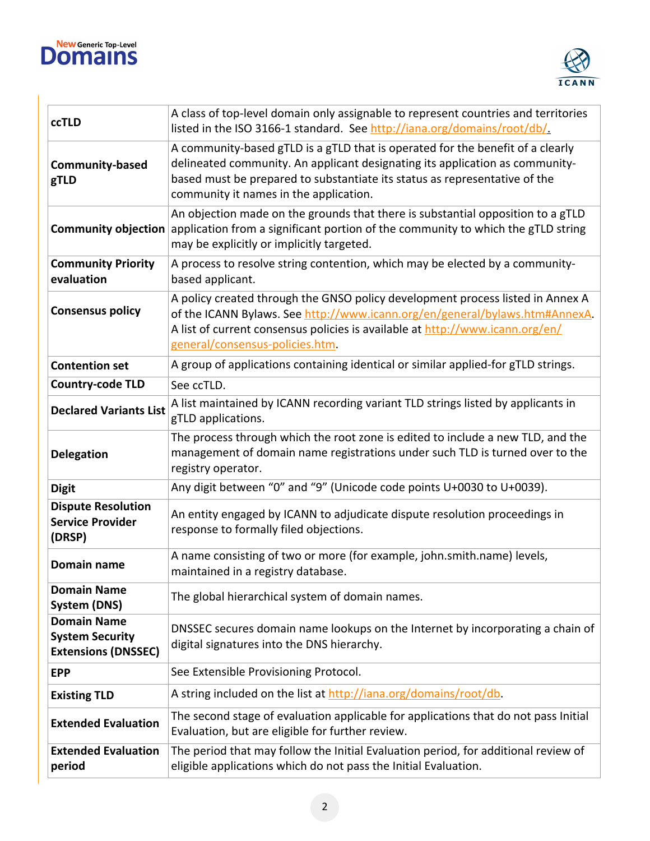



| <b>ccTLD</b>                                                               | A class of top-level domain only assignable to represent countries and territories<br>listed in the ISO 3166-1 standard. See http://iana.org/domains/root/db/.                                                                                                                         |
|----------------------------------------------------------------------------|----------------------------------------------------------------------------------------------------------------------------------------------------------------------------------------------------------------------------------------------------------------------------------------|
| <b>Community-based</b><br>gTLD                                             | A community-based gTLD is a gTLD that is operated for the benefit of a clearly<br>delineated community. An applicant designating its application as community-<br>based must be prepared to substantiate its status as representative of the<br>community it names in the application. |
| <b>Community objection</b>                                                 | An objection made on the grounds that there is substantial opposition to a gTLD<br>application from a significant portion of the community to which the gTLD string<br>may be explicitly or implicitly targeted.                                                                       |
| <b>Community Priority</b><br>evaluation                                    | A process to resolve string contention, which may be elected by a community-<br>based applicant.                                                                                                                                                                                       |
| <b>Consensus policy</b>                                                    | A policy created through the GNSO policy development process listed in Annex A<br>of the ICANN Bylaws. See http://www.icann.org/en/general/bylaws.htm#AnnexA.<br>A list of current consensus policies is available at http://www.icann.org/en/<br>general/consensus-policies.htm.      |
| <b>Contention set</b>                                                      | A group of applications containing identical or similar applied-for gTLD strings.                                                                                                                                                                                                      |
| <b>Country-code TLD</b>                                                    | See ccTLD.                                                                                                                                                                                                                                                                             |
| <b>Declared Variants List</b>                                              | A list maintained by ICANN recording variant TLD strings listed by applicants in<br>gTLD applications.                                                                                                                                                                                 |
| <b>Delegation</b>                                                          | The process through which the root zone is edited to include a new TLD, and the<br>management of domain name registrations under such TLD is turned over to the<br>registry operator.                                                                                                  |
| <b>Digit</b>                                                               | Any digit between "0" and "9" (Unicode code points U+0030 to U+0039).                                                                                                                                                                                                                  |
| <b>Dispute Resolution</b><br><b>Service Provider</b><br>(DRSP)             | An entity engaged by ICANN to adjudicate dispute resolution proceedings in<br>response to formally filed objections.                                                                                                                                                                   |
| Domain name                                                                | A name consisting of two or more (for example, john.smith.name) levels,<br>maintained in a registry database.                                                                                                                                                                          |
| <b>Domain Name</b><br>System (DNS)                                         | The global hierarchical system of domain names.                                                                                                                                                                                                                                        |
| <b>Domain Name</b><br><b>System Security</b><br><b>Extensions (DNSSEC)</b> | DNSSEC secures domain name lookups on the Internet by incorporating a chain of<br>digital signatures into the DNS hierarchy.                                                                                                                                                           |
| <b>EPP</b>                                                                 | See Extensible Provisioning Protocol.                                                                                                                                                                                                                                                  |
| <b>Existing TLD</b>                                                        | A string included on the list at http://iana.org/domains/root/db.                                                                                                                                                                                                                      |
| <b>Extended Evaluation</b>                                                 | The second stage of evaluation applicable for applications that do not pass Initial<br>Evaluation, but are eligible for further review.                                                                                                                                                |
| <b>Extended Evaluation</b><br>period                                       | The period that may follow the Initial Evaluation period, for additional review of<br>eligible applications which do not pass the Initial Evaluation.                                                                                                                                  |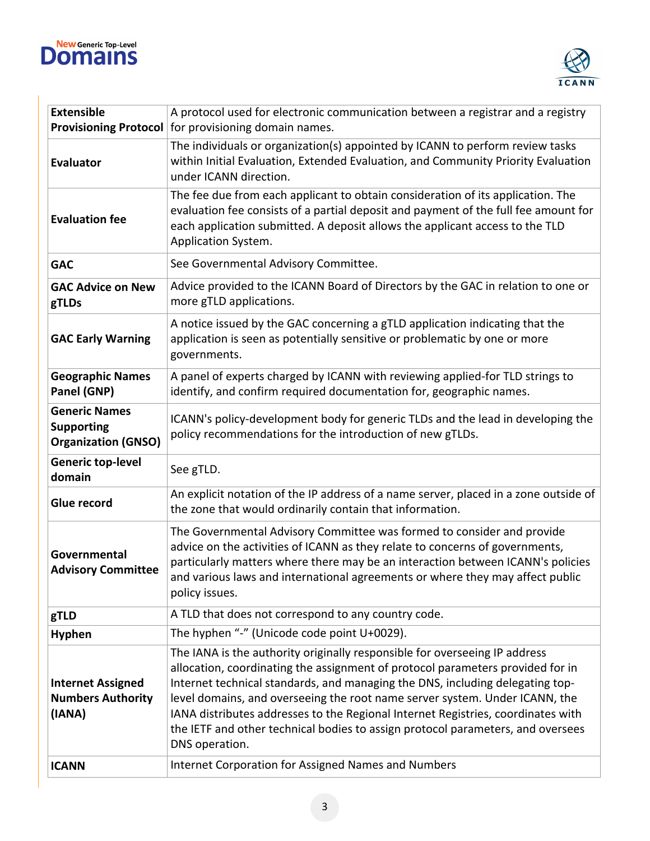



| <b>Extensible</b><br><b>Provisioning Protocol</b>                       | A protocol used for electronic communication between a registrar and a registry<br>for provisioning domain names.                                                                                                                                                                                                                                                                                                                                                                                                     |
|-------------------------------------------------------------------------|-----------------------------------------------------------------------------------------------------------------------------------------------------------------------------------------------------------------------------------------------------------------------------------------------------------------------------------------------------------------------------------------------------------------------------------------------------------------------------------------------------------------------|
| <b>Evaluator</b>                                                        | The individuals or organization(s) appointed by ICANN to perform review tasks<br>within Initial Evaluation, Extended Evaluation, and Community Priority Evaluation<br>under ICANN direction.                                                                                                                                                                                                                                                                                                                          |
| <b>Evaluation fee</b>                                                   | The fee due from each applicant to obtain consideration of its application. The<br>evaluation fee consists of a partial deposit and payment of the full fee amount for<br>each application submitted. A deposit allows the applicant access to the TLD<br>Application System.                                                                                                                                                                                                                                         |
| <b>GAC</b>                                                              | See Governmental Advisory Committee.                                                                                                                                                                                                                                                                                                                                                                                                                                                                                  |
| <b>GAC Advice on New</b><br>gTLDs                                       | Advice provided to the ICANN Board of Directors by the GAC in relation to one or<br>more gTLD applications.                                                                                                                                                                                                                                                                                                                                                                                                           |
| <b>GAC Early Warning</b>                                                | A notice issued by the GAC concerning a gTLD application indicating that the<br>application is seen as potentially sensitive or problematic by one or more<br>governments.                                                                                                                                                                                                                                                                                                                                            |
| <b>Geographic Names</b><br>Panel (GNP)                                  | A panel of experts charged by ICANN with reviewing applied-for TLD strings to<br>identify, and confirm required documentation for, geographic names.                                                                                                                                                                                                                                                                                                                                                                  |
| <b>Generic Names</b><br><b>Supporting</b><br><b>Organization (GNSO)</b> | ICANN's policy-development body for generic TLDs and the lead in developing the<br>policy recommendations for the introduction of new gTLDs.                                                                                                                                                                                                                                                                                                                                                                          |
| <b>Generic top-level</b><br>domain                                      | See gTLD.                                                                                                                                                                                                                                                                                                                                                                                                                                                                                                             |
| Glue record                                                             | An explicit notation of the IP address of a name server, placed in a zone outside of<br>the zone that would ordinarily contain that information.                                                                                                                                                                                                                                                                                                                                                                      |
| Governmental<br><b>Advisory Committee</b>                               | The Governmental Advisory Committee was formed to consider and provide<br>advice on the activities of ICANN as they relate to concerns of governments,<br>particularly matters where there may be an interaction between ICANN's policies<br>and various laws and international agreements or where they may affect public<br>policy issues.                                                                                                                                                                          |
| gTLD                                                                    | A TLD that does not correspond to any country code.                                                                                                                                                                                                                                                                                                                                                                                                                                                                   |
| <b>Hyphen</b>                                                           | The hyphen "-" (Unicode code point U+0029).                                                                                                                                                                                                                                                                                                                                                                                                                                                                           |
| <b>Internet Assigned</b><br><b>Numbers Authority</b><br>(IANA)          | The IANA is the authority originally responsible for overseeing IP address<br>allocation, coordinating the assignment of protocol parameters provided for in<br>Internet technical standards, and managing the DNS, including delegating top-<br>level domains, and overseeing the root name server system. Under ICANN, the<br>IANA distributes addresses to the Regional Internet Registries, coordinates with<br>the IETF and other technical bodies to assign protocol parameters, and oversees<br>DNS operation. |
| <b>ICANN</b>                                                            | Internet Corporation for Assigned Names and Numbers                                                                                                                                                                                                                                                                                                                                                                                                                                                                   |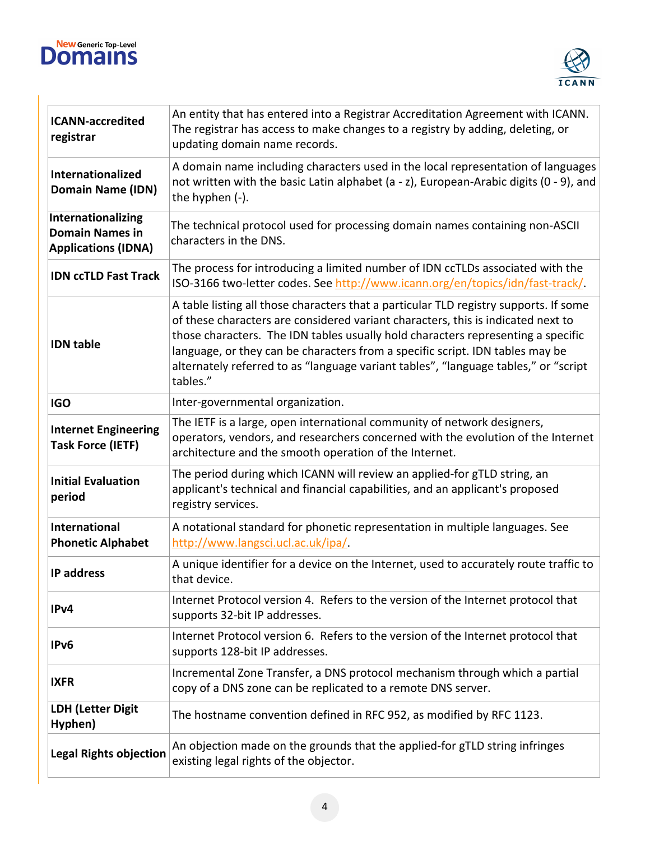



| <b>ICANN-accredited</b><br>registrar                                       | An entity that has entered into a Registrar Accreditation Agreement with ICANN.<br>The registrar has access to make changes to a registry by adding, deleting, or<br>updating domain name records.                                                                                                                                                                                                                                                |
|----------------------------------------------------------------------------|---------------------------------------------------------------------------------------------------------------------------------------------------------------------------------------------------------------------------------------------------------------------------------------------------------------------------------------------------------------------------------------------------------------------------------------------------|
| Internationalized<br><b>Domain Name (IDN)</b>                              | A domain name including characters used in the local representation of languages<br>not written with the basic Latin alphabet (a - z), European-Arabic digits (0 - 9), and<br>the hyphen (-).                                                                                                                                                                                                                                                     |
| Internationalizing<br><b>Domain Names in</b><br><b>Applications (IDNA)</b> | The technical protocol used for processing domain names containing non-ASCII<br>characters in the DNS.                                                                                                                                                                                                                                                                                                                                            |
| <b>IDN ccTLD Fast Track</b>                                                | The process for introducing a limited number of IDN ccTLDs associated with the<br>ISO-3166 two-letter codes. See http://www.icann.org/en/topics/idn/fast-track/.                                                                                                                                                                                                                                                                                  |
| <b>IDN</b> table                                                           | A table listing all those characters that a particular TLD registry supports. If some<br>of these characters are considered variant characters, this is indicated next to<br>those characters. The IDN tables usually hold characters representing a specific<br>language, or they can be characters from a specific script. IDN tables may be<br>alternately referred to as "language variant tables", "language tables," or "script<br>tables." |
| <b>IGO</b>                                                                 | Inter-governmental organization.                                                                                                                                                                                                                                                                                                                                                                                                                  |
| <b>Internet Engineering</b><br><b>Task Force (IETF)</b>                    | The IETF is a large, open international community of network designers,<br>operators, vendors, and researchers concerned with the evolution of the Internet<br>architecture and the smooth operation of the Internet.                                                                                                                                                                                                                             |
| <b>Initial Evaluation</b><br>period                                        | The period during which ICANN will review an applied-for gTLD string, an<br>applicant's technical and financial capabilities, and an applicant's proposed<br>registry services.                                                                                                                                                                                                                                                                   |
| <b>International</b><br><b>Phonetic Alphabet</b>                           | A notational standard for phonetic representation in multiple languages. See<br>http://www.langsci.ucl.ac.uk/ipa/                                                                                                                                                                                                                                                                                                                                 |
| <b>IP address</b>                                                          | A unique identifier for a device on the Internet, used to accurately route traffic to<br>that device.                                                                                                                                                                                                                                                                                                                                             |
| IPv4                                                                       | Internet Protocol version 4. Refers to the version of the Internet protocol that<br>supports 32-bit IP addresses.                                                                                                                                                                                                                                                                                                                                 |
| IPv6                                                                       | Internet Protocol version 6. Refers to the version of the Internet protocol that<br>supports 128-bit IP addresses.                                                                                                                                                                                                                                                                                                                                |
| <b>IXFR</b>                                                                | Incremental Zone Transfer, a DNS protocol mechanism through which a partial<br>copy of a DNS zone can be replicated to a remote DNS server.                                                                                                                                                                                                                                                                                                       |
| <b>LDH (Letter Digit</b><br>Hyphen)                                        | The hostname convention defined in RFC 952, as modified by RFC 1123.                                                                                                                                                                                                                                                                                                                                                                              |
| <b>Legal Rights objection</b>                                              | An objection made on the grounds that the applied-for gTLD string infringes<br>existing legal rights of the objector.                                                                                                                                                                                                                                                                                                                             |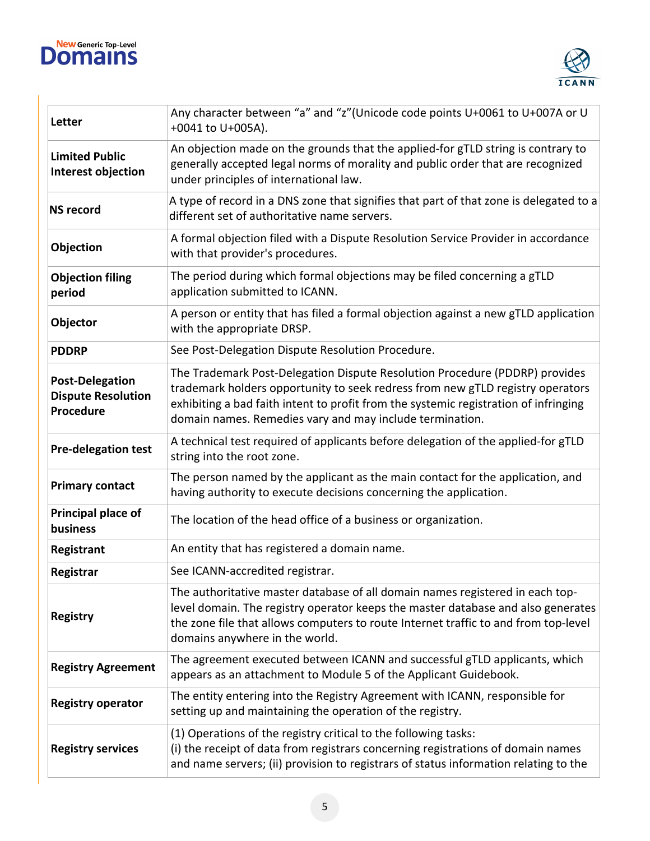



| Letter                                                           | Any character between "a" and "z"(Unicode code points U+0061 to U+007A or U<br>+0041 to U+005A).                                                                                                                                                                                                                  |
|------------------------------------------------------------------|-------------------------------------------------------------------------------------------------------------------------------------------------------------------------------------------------------------------------------------------------------------------------------------------------------------------|
| <b>Limited Public</b><br>Interest objection                      | An objection made on the grounds that the applied-for gTLD string is contrary to<br>generally accepted legal norms of morality and public order that are recognized<br>under principles of international law.                                                                                                     |
| <b>NS record</b>                                                 | A type of record in a DNS zone that signifies that part of that zone is delegated to a<br>different set of authoritative name servers.                                                                                                                                                                            |
| Objection                                                        | A formal objection filed with a Dispute Resolution Service Provider in accordance<br>with that provider's procedures.                                                                                                                                                                                             |
| <b>Objection filing</b><br>period                                | The period during which formal objections may be filed concerning a gTLD<br>application submitted to ICANN.                                                                                                                                                                                                       |
| Objector                                                         | A person or entity that has filed a formal objection against a new gTLD application<br>with the appropriate DRSP.                                                                                                                                                                                                 |
| <b>PDDRP</b>                                                     | See Post-Delegation Dispute Resolution Procedure.                                                                                                                                                                                                                                                                 |
| <b>Post-Delegation</b><br><b>Dispute Resolution</b><br>Procedure | The Trademark Post-Delegation Dispute Resolution Procedure (PDDRP) provides<br>trademark holders opportunity to seek redress from new gTLD registry operators<br>exhibiting a bad faith intent to profit from the systemic registration of infringing<br>domain names. Remedies vary and may include termination. |
| <b>Pre-delegation test</b>                                       | A technical test required of applicants before delegation of the applied-for gTLD<br>string into the root zone.                                                                                                                                                                                                   |
| <b>Primary contact</b>                                           | The person named by the applicant as the main contact for the application, and<br>having authority to execute decisions concerning the application.                                                                                                                                                               |
| Principal place of<br>business                                   | The location of the head office of a business or organization.                                                                                                                                                                                                                                                    |
| Registrant                                                       | An entity that has registered a domain name.                                                                                                                                                                                                                                                                      |
| Registrar                                                        | See ICANN-accredited registrar.                                                                                                                                                                                                                                                                                   |
| <b>Registry</b>                                                  | The authoritative master database of all domain names registered in each top-<br>level domain. The registry operator keeps the master database and also generates<br>the zone file that allows computers to route Internet traffic to and from top-level<br>domains anywhere in the world.                        |
| <b>Registry Agreement</b>                                        | The agreement executed between ICANN and successful gTLD applicants, which<br>appears as an attachment to Module 5 of the Applicant Guidebook.                                                                                                                                                                    |
| <b>Registry operator</b>                                         | The entity entering into the Registry Agreement with ICANN, responsible for<br>setting up and maintaining the operation of the registry.                                                                                                                                                                          |
| <b>Registry services</b>                                         | (1) Operations of the registry critical to the following tasks:<br>(i) the receipt of data from registrars concerning registrations of domain names<br>and name servers; (ii) provision to registrars of status information relating to the                                                                       |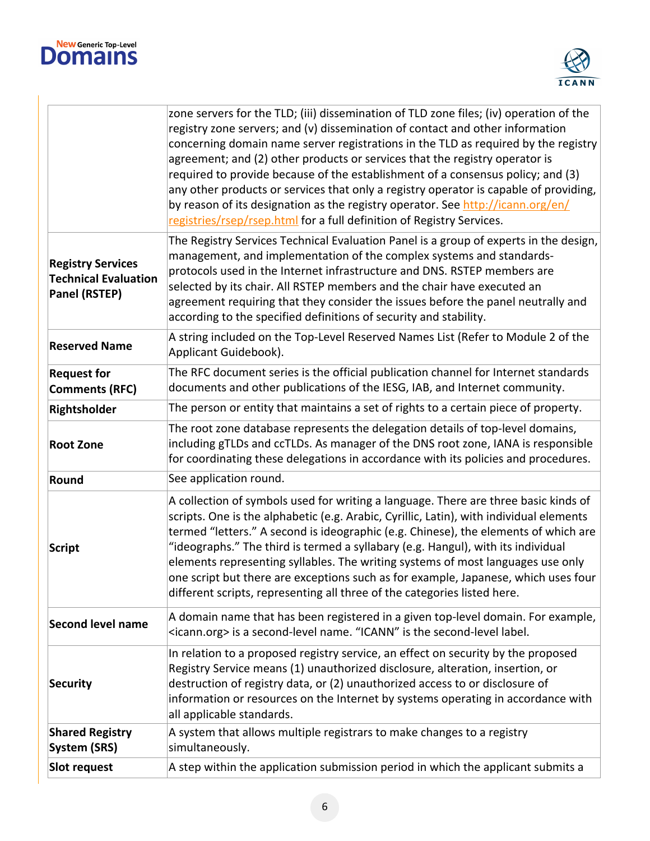



|                                        | zone servers for the TLD; (iii) dissemination of TLD zone files; (iv) operation of the    |
|----------------------------------------|-------------------------------------------------------------------------------------------|
|                                        | registry zone servers; and (v) dissemination of contact and other information             |
|                                        | concerning domain name server registrations in the TLD as required by the registry        |
|                                        | agreement; and (2) other products or services that the registry operator is               |
|                                        | required to provide because of the establishment of a consensus policy; and (3)           |
|                                        | any other products or services that only a registry operator is capable of providing,     |
|                                        | by reason of its designation as the registry operator. See http://icann.org/en/           |
|                                        | registries/rsep/rsep.html for a full definition of Registry Services.                     |
|                                        | The Registry Services Technical Evaluation Panel is a group of experts in the design,     |
|                                        | management, and implementation of the complex systems and standards-                      |
| <b>Registry Services</b>               | protocols used in the Internet infrastructure and DNS. RSTEP members are                  |
| <b>Technical Evaluation</b>            | selected by its chair. All RSTEP members and the chair have executed an                   |
| <b>Panel (RSTEP)</b>                   | agreement requiring that they consider the issues before the panel neutrally and          |
|                                        | according to the specified definitions of security and stability.                         |
|                                        | A string included on the Top-Level Reserved Names List (Refer to Module 2 of the          |
| <b>Reserved Name</b>                   | Applicant Guidebook).                                                                     |
| <b>Request for</b>                     | The RFC document series is the official publication channel for Internet standards        |
| <b>Comments (RFC)</b>                  | documents and other publications of the IESG, IAB, and Internet community.                |
| Rightsholder                           | The person or entity that maintains a set of rights to a certain piece of property.       |
|                                        | The root zone database represents the delegation details of top-level domains,            |
| <b>Root Zone</b>                       | including gTLDs and ccTLDs. As manager of the DNS root zone, IANA is responsible          |
|                                        | for coordinating these delegations in accordance with its policies and procedures.        |
| Round                                  | See application round.                                                                    |
|                                        | A collection of symbols used for writing a language. There are three basic kinds of       |
|                                        | scripts. One is the alphabetic (e.g. Arabic, Cyrillic, Latin), with individual elements   |
|                                        | termed "letters." A second is ideographic (e.g. Chinese), the elements of which are       |
| Script                                 | "ideographs." The third is termed a syllabary (e.g. Hangul), with its individual          |
|                                        | elements representing syllables. The writing systems of most languages use only           |
|                                        | one script but there are exceptions such as for example, Japanese, which uses four        |
|                                        | different scripts, representing all three of the categories listed here.                  |
| <b>Second level name</b>               | A domain name that has been registered in a given top-level domain. For example,          |
|                                        | <icann.org> is a second-level name. "ICANN" is the second-level label.</icann.org>        |
|                                        | In relation to a proposed registry service, an effect on security by the proposed         |
|                                        | Registry Service means (1) unauthorized disclosure, alteration, insertion, or             |
| <b>Security</b>                        | destruction of registry data, or (2) unauthorized access to or disclosure of              |
|                                        | information or resources on the Internet by systems operating in accordance with          |
|                                        | all applicable standards.                                                                 |
| <b>Shared Registry</b><br>System (SRS) | A system that allows multiple registrars to make changes to a registry<br>simultaneously. |
|                                        |                                                                                           |
| Slot request                           | A step within the application submission period in which the applicant submits a          |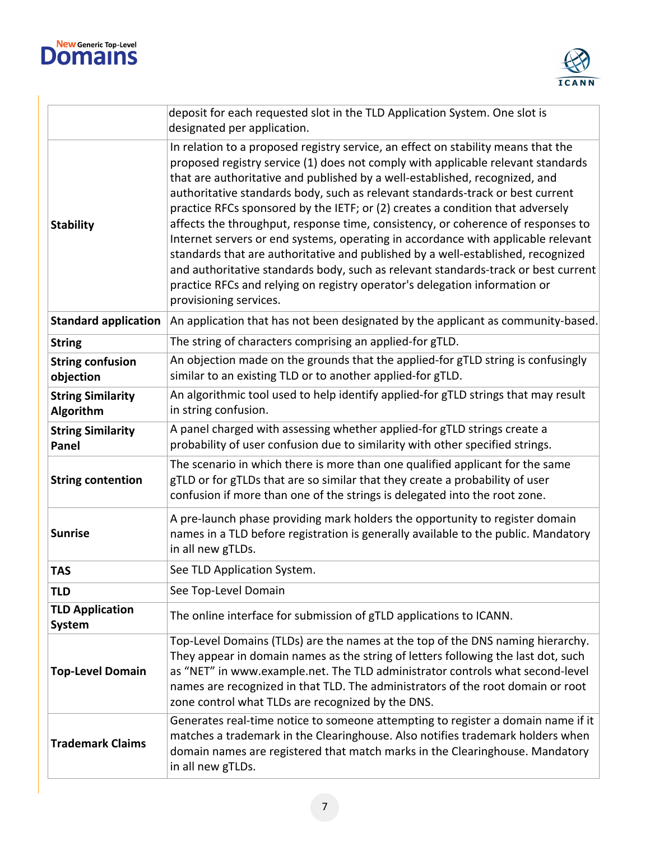



| deposit for each requested slot in the TLD Application System. One slot is<br>designated per application. |                                                                                                                                                                                                                                                                                                                                                                                                                                                                                                                                                                                                                                                                                                                                                                                                                                                                                     |
|-----------------------------------------------------------------------------------------------------------|-------------------------------------------------------------------------------------------------------------------------------------------------------------------------------------------------------------------------------------------------------------------------------------------------------------------------------------------------------------------------------------------------------------------------------------------------------------------------------------------------------------------------------------------------------------------------------------------------------------------------------------------------------------------------------------------------------------------------------------------------------------------------------------------------------------------------------------------------------------------------------------|
| <b>Stability</b>                                                                                          | In relation to a proposed registry service, an effect on stability means that the<br>proposed registry service (1) does not comply with applicable relevant standards<br>that are authoritative and published by a well-established, recognized, and<br>authoritative standards body, such as relevant standards-track or best current<br>practice RFCs sponsored by the IETF; or (2) creates a condition that adversely<br>affects the throughput, response time, consistency, or coherence of responses to<br>Internet servers or end systems, operating in accordance with applicable relevant<br>standards that are authoritative and published by a well-established, recognized<br>and authoritative standards body, such as relevant standards-track or best current<br>practice RFCs and relying on registry operator's delegation information or<br>provisioning services. |
| <b>Standard application</b>                                                                               | An application that has not been designated by the applicant as community-based.                                                                                                                                                                                                                                                                                                                                                                                                                                                                                                                                                                                                                                                                                                                                                                                                    |
| <b>String</b>                                                                                             | The string of characters comprising an applied-for gTLD.                                                                                                                                                                                                                                                                                                                                                                                                                                                                                                                                                                                                                                                                                                                                                                                                                            |
| <b>String confusion</b><br>objection                                                                      | An objection made on the grounds that the applied-for gTLD string is confusingly<br>similar to an existing TLD or to another applied-for gTLD.                                                                                                                                                                                                                                                                                                                                                                                                                                                                                                                                                                                                                                                                                                                                      |
| <b>String Similarity</b><br>Algorithm                                                                     | An algorithmic tool used to help identify applied-for gTLD strings that may result<br>in string confusion.                                                                                                                                                                                                                                                                                                                                                                                                                                                                                                                                                                                                                                                                                                                                                                          |
| <b>String Similarity</b><br>Panel                                                                         | A panel charged with assessing whether applied-for gTLD strings create a<br>probability of user confusion due to similarity with other specified strings.                                                                                                                                                                                                                                                                                                                                                                                                                                                                                                                                                                                                                                                                                                                           |
| <b>String contention</b>                                                                                  | The scenario in which there is more than one qualified applicant for the same<br>gTLD or for gTLDs that are so similar that they create a probability of user<br>confusion if more than one of the strings is delegated into the root zone.                                                                                                                                                                                                                                                                                                                                                                                                                                                                                                                                                                                                                                         |
| <b>Sunrise</b>                                                                                            | A pre-launch phase providing mark holders the opportunity to register domain<br>names in a TLD before registration is generally available to the public. Mandatory<br>in all new gTLDs.                                                                                                                                                                                                                                                                                                                                                                                                                                                                                                                                                                                                                                                                                             |
| <b>TAS</b>                                                                                                | See TLD Application System.                                                                                                                                                                                                                                                                                                                                                                                                                                                                                                                                                                                                                                                                                                                                                                                                                                                         |
| <b>TLD</b>                                                                                                | See Top-Level Domain                                                                                                                                                                                                                                                                                                                                                                                                                                                                                                                                                                                                                                                                                                                                                                                                                                                                |
| <b>TLD Application</b><br><b>System</b>                                                                   | The online interface for submission of gTLD applications to ICANN.                                                                                                                                                                                                                                                                                                                                                                                                                                                                                                                                                                                                                                                                                                                                                                                                                  |
| <b>Top-Level Domain</b>                                                                                   | Top-Level Domains (TLDs) are the names at the top of the DNS naming hierarchy.<br>They appear in domain names as the string of letters following the last dot, such<br>as "NET" in www.example.net. The TLD administrator controls what second-level<br>names are recognized in that TLD. The administrators of the root domain or root<br>zone control what TLDs are recognized by the DNS.                                                                                                                                                                                                                                                                                                                                                                                                                                                                                        |
| <b>Trademark Claims</b>                                                                                   | Generates real-time notice to someone attempting to register a domain name if it<br>matches a trademark in the Clearinghouse. Also notifies trademark holders when<br>domain names are registered that match marks in the Clearinghouse. Mandatory<br>in all new gTLDs.                                                                                                                                                                                                                                                                                                                                                                                                                                                                                                                                                                                                             |